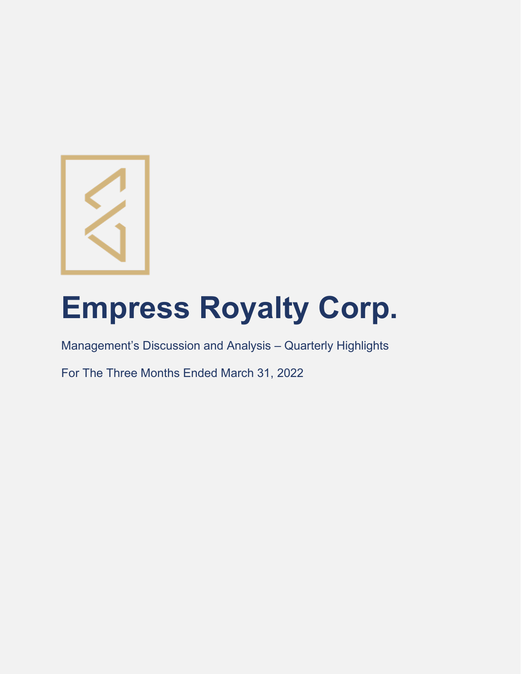

# **Empress Royalty Corp.**

Management's Discussion and Analysis – Quarterly Highlights

For The Three Months Ended March 31, 2022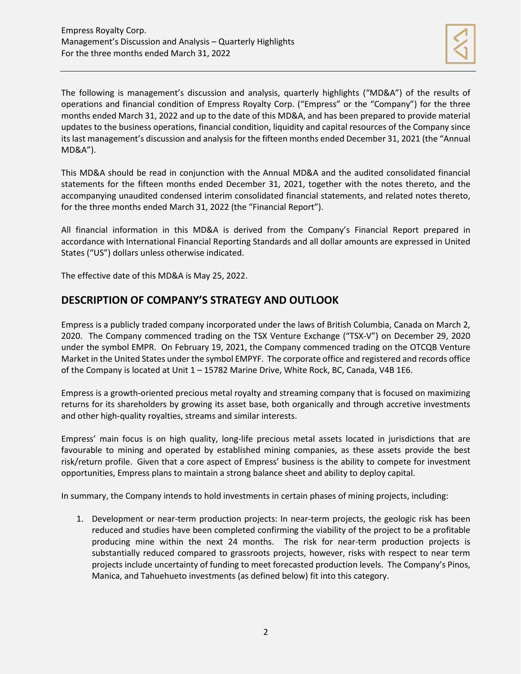

The following is management's discussion and analysis, quarterly highlights ("MD&A") of the results of operations and financial condition of Empress Royalty Corp. ("Empress" or the "Company") for the three months ended March 31, 2022 and up to the date of this MD&A, and has been prepared to provide material updates to the business operations, financial condition, liquidity and capital resources of the Company since its last management's discussion and analysis for the fifteen months ended December 31, 2021 (the "Annual MD&A").

This MD&A should be read in conjunction with the Annual MD&A and the audited consolidated financial statements for the fifteen months ended December 31, 2021, together with the notes thereto, and the accompanying unaudited condensed interim consolidated financial statements, and related notes thereto, for the three months ended March 31, 2022 (the "Financial Report").

All financial information in this MD&A is derived from the Company's Financial Report prepared in accordance with International Financial Reporting Standards and all dollar amounts are expressed in United States ("US") dollars unless otherwise indicated.

The effective date of this MD&A is May 25, 2022.

# **DESCRIPTION OF COMPANY'S STRATEGY AND OUTLOOK**

Empress is a publicly traded company incorporated under the laws of British Columbia, Canada on March 2, 2020. The Company commenced trading on the TSX Venture Exchange ("TSX-V") on December 29, 2020 under the symbol EMPR. On February 19, 2021, the Company commenced trading on the OTCQB Venture Market in the United States under the symbol EMPYF. The corporate office and registered and records office of the Company is located at Unit 1 – 15782 Marine Drive, White Rock, BC, Canada, V4B 1E6.

Empress is a growth-oriented precious metal royalty and streaming company that is focused on maximizing returns for its shareholders by growing its asset base, both organically and through accretive investments and other high-quality royalties, streams and similar interests.

Empress' main focus is on high quality, long-life precious metal assets located in jurisdictions that are favourable to mining and operated by established mining companies, as these assets provide the best risk/return profile. Given that a core aspect of Empress' business is the ability to compete for investment opportunities, Empress plans to maintain a strong balance sheet and ability to deploy capital.

In summary, the Company intends to hold investments in certain phases of mining projects, including:

1. Development or near-term production projects: In near-term projects, the geologic risk has been reduced and studies have been completed confirming the viability of the project to be a profitable producing mine within the next 24 months. The risk for near-term production projects is substantially reduced compared to grassroots projects, however, risks with respect to near term projects include uncertainty of funding to meet forecasted production levels. The Company's Pinos, Manica, and Tahuehueto investments (as defined below) fit into this category.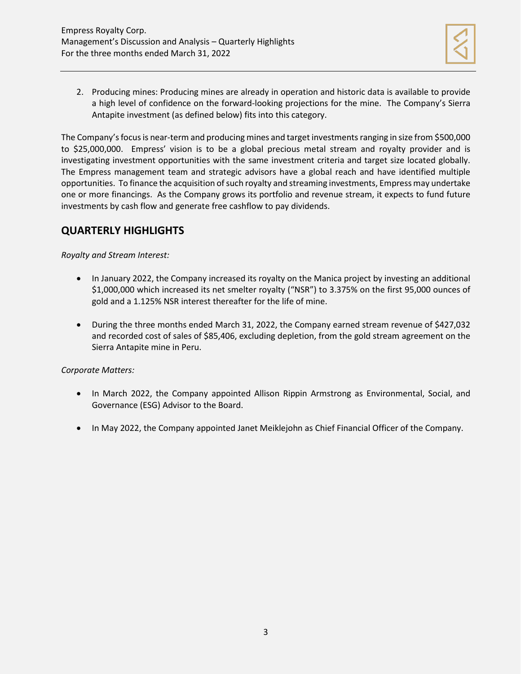

2. Producing mines: Producing mines are already in operation and historic data is available to provide a high level of confidence on the forward-looking projections for the mine. The Company's Sierra Antapite investment (as defined below) fits into this category.

The Company's focus is near-term and producing mines and target investments ranging in size from \$500,000 to \$25,000,000. Empress' vision is to be a global precious metal stream and royalty provider and is investigating investment opportunities with the same investment criteria and target size located globally. The Empress management team and strategic advisors have a global reach and have identified multiple opportunities. To finance the acquisition of such royalty and streaming investments, Empress may undertake one or more financings. As the Company grows its portfolio and revenue stream, it expects to fund future investments by cash flow and generate free cashflow to pay dividends.

# **QUARTERLY HIGHLIGHTS**

*Royalty and Stream Interest:*

- In January 2022, the Company increased its royalty on the Manica project by investing an additional \$1,000,000 which increased its net smelter royalty ("NSR") to 3.375% on the first 95,000 ounces of gold and a 1.125% NSR interest thereafter for the life of mine.
- During the three months ended March 31, 2022, the Company earned stream revenue of \$427,032 and recorded cost of sales of \$85,406, excluding depletion, from the gold stream agreement on the Sierra Antapite mine in Peru.

## *Corporate Matters:*

- In March 2022, the Company appointed Allison Rippin Armstrong as Environmental, Social, and Governance (ESG) Advisor to the Board.
- In May 2022, the Company appointed Janet Meiklejohn as Chief Financial Officer of the Company.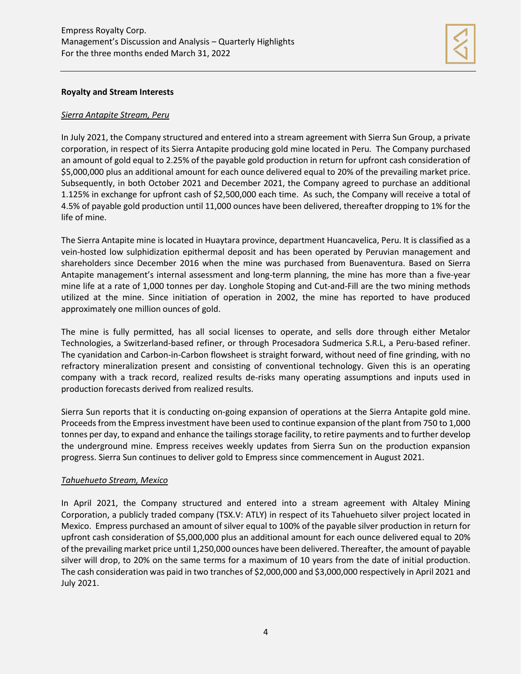

#### **Royalty and Stream Interests**

#### *Sierra Antapite Stream, Peru*

In July 2021, the Company structured and entered into a stream agreement with Sierra Sun Group, a private corporation, in respect of its Sierra Antapite producing gold mine located in Peru. The Company purchased an amount of gold equal to 2.25% of the payable gold production in return for upfront cash consideration of \$5,000,000 plus an additional amount for each ounce delivered equal to 20% of the prevailing market price. Subsequently, in both October 2021 and December 2021, the Company agreed to purchase an additional 1.125% in exchange for upfront cash of \$2,500,000 each time. As such, the Company will receive a total of 4.5% of payable gold production until 11,000 ounces have been delivered, thereafter dropping to 1% for the life of mine.

The Sierra Antapite mine is located in Huaytara province, department Huancavelica, Peru. It is classified as a vein-hosted low sulphidization epithermal deposit and has been operated by Peruvian management and shareholders since December 2016 when the mine was purchased from Buenaventura. Based on Sierra Antapite management's internal assessment and long-term planning, the mine has more than a five-year mine life at a rate of 1,000 tonnes per day. Longhole Stoping and Cut-and-Fill are the two mining methods utilized at the mine. Since initiation of operation in 2002, the mine has reported to have produced approximately one million ounces of gold.

The mine is fully permitted, has all social licenses to operate, and sells dore through either Metalor Technologies, a Switzerland-based refiner, or through Procesadora Sudmerica S.R.L, a Peru-based refiner. The cyanidation and Carbon-in-Carbon flowsheet is straight forward, without need of fine grinding, with no refractory mineralization present and consisting of conventional technology. Given this is an operating company with a track record, realized results de-risks many operating assumptions and inputs used in production forecasts derived from realized results.

Sierra Sun reports that it is conducting on-going expansion of operations at the Sierra Antapite gold mine. Proceeds from the Empress investment have been used to continue expansion of the plant from 750 to 1,000 tonnes per day, to expand and enhance the tailings storage facility, to retire payments and to further develop the underground mine. Empress receives weekly updates from Sierra Sun on the production expansion progress. Sierra Sun continues to deliver gold to Empress since commencement in August 2021.

#### *Tahuehueto Stream, Mexico*

In April 2021, the Company structured and entered into a stream agreement with Altaley Mining Corporation, a publicly traded company (TSX.V: ATLY) in respect of its Tahuehueto silver project located in Mexico. Empress purchased an amount of silver equal to 100% of the payable silver production in return for upfront cash consideration of \$5,000,000 plus an additional amount for each ounce delivered equal to 20% of the prevailing market price until 1,250,000 ounces have been delivered. Thereafter, the amount of payable silver will drop, to 20% on the same terms for a maximum of 10 years from the date of initial production. The cash consideration was paid in two tranches of \$2,000,000 and \$3,000,000 respectively in April 2021 and July 2021.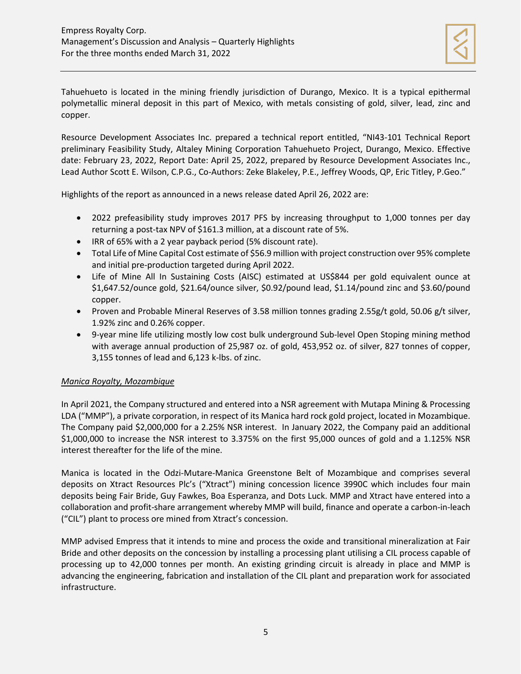

Tahuehueto is located in the mining friendly jurisdiction of Durango, Mexico. It is a typical epithermal polymetallic mineral deposit in this part of Mexico, with metals consisting of gold, silver, lead, zinc and copper.

Resource Development Associates Inc. prepared a technical report entitled, "NI43-101 Technical Report preliminary Feasibility Study, Altaley Mining Corporation Tahuehueto Project, Durango, Mexico. Effective date: February 23, 2022, Report Date: April 25, 2022, prepared by Resource Development Associates Inc., Lead Author Scott E. Wilson, C.P.G., Co-Authors: Zeke Blakeley, P.E., Jeffrey Woods, QP, Eric Titley, P.Geo."

Highlights of the report as announced in a news release dated April 26, 2022 are:

- 2022 prefeasibility study improves 2017 PFS by increasing throughput to 1,000 tonnes per day returning a post-tax NPV of \$161.3 million, at a discount rate of 5%.
- IRR of 65% with a 2 year payback period (5% discount rate).
- Total Life of Mine Capital Cost estimate of \$56.9 million with project construction over 95% complete and initial pre-production targeted during April 2022.
- Life of Mine All In Sustaining Costs (AISC) estimated at US\$844 per gold equivalent ounce at \$1,647.52/ounce gold, \$21.64/ounce silver, \$0.92/pound lead, \$1.14/pound zinc and \$3.60/pound copper.
- Proven and Probable Mineral Reserves of 3.58 million tonnes grading 2.55g/t gold, 50.06 g/t silver, 1.92% zinc and 0.26% copper.
- 9-year mine life utilizing mostly low cost bulk underground Sub-level Open Stoping mining method with average annual production of 25,987 oz. of gold, 453,952 oz. of silver, 827 tonnes of copper, 3,155 tonnes of lead and 6,123 k-lbs. of zinc.

## *Manica Royalty, Mozambique*

In April 2021, the Company structured and entered into a NSR agreement with Mutapa Mining & Processing LDA ("MMP"), a private corporation, in respect of its Manica hard rock gold project, located in Mozambique. The Company paid \$2,000,000 for a 2.25% NSR interest. In January 2022, the Company paid an additional \$1,000,000 to increase the NSR interest to 3.375% on the first 95,000 ounces of gold and a 1.125% NSR interest thereafter for the life of the mine.

Manica is located in the Odzi-Mutare-Manica Greenstone Belt of Mozambique and comprises several deposits on Xtract Resources Plc's ("Xtract") mining concession licence 3990C which includes four main deposits being Fair Bride, Guy Fawkes, Boa Esperanza, and Dots Luck. MMP and Xtract have entered into a collaboration and profit-share arrangement whereby MMP will build, finance and operate a carbon-in-leach ("CIL") plant to process ore mined from Xtract's concession.

MMP advised Empress that it intends to mine and process the oxide and transitional mineralization at Fair Bride and other deposits on the concession by installing a processing plant utilising a CIL process capable of processing up to 42,000 tonnes per month. An existing grinding circuit is already in place and MMP is advancing the engineering, fabrication and installation of the CIL plant and preparation work for associated infrastructure.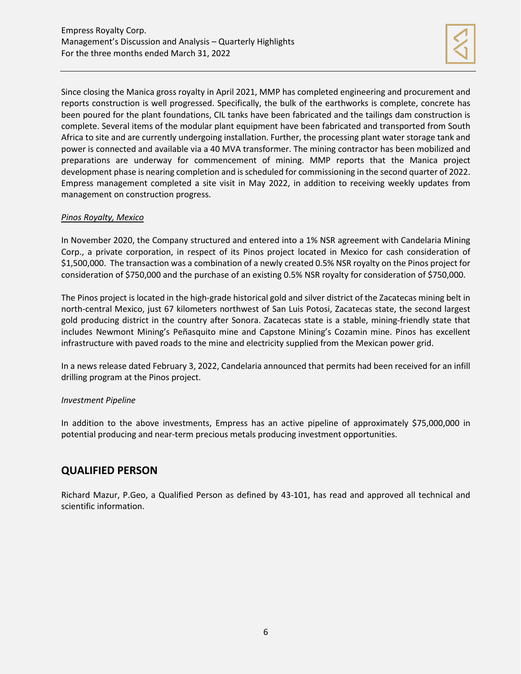

Since closing the Manica gross royalty in April 2021, MMP has completed engineering and procurement and reports construction is well progressed. Specifically, the bulk of the earthworks is complete, concrete has been poured for the plant foundations, CIL tanks have been fabricated and the tailings dam construction is complete. Several items of the modular plant equipment have been fabricated and transported from South Africa to site and are currently undergoing installation. Further, the processing plant water storage tank and power is connected and available via a 40 MVA transformer. The mining contractor has been mobilized and preparations are underway for commencement of mining. MMP reports that the Manica project development phase is nearing completion and is scheduled for commissioning in the second quarter of 2022. Empress management completed a site visit in May 2022, in addition to receiving weekly updates from management on construction progress.

## *Pinos Royalty, Mexico*

In November 2020, the Company structured and entered into a 1% NSR agreement with Candelaria Mining Corp., a private corporation, in respect of its Pinos project located in Mexico for cash consideration of \$1,500,000. The transaction was a combination of a newly created 0.5% NSR royalty on the Pinos project for consideration of \$750,000 and the purchase of an existing 0.5% NSR royalty for consideration of \$750,000.

The Pinos project is located in the high-grade historical gold and silver district of the Zacatecas mining belt in north-central Mexico, just 67 kilometers northwest of San Luis Potosi, Zacatecas state, the second largest gold producing district in the country after Sonora. Zacatecas state is a stable, mining-friendly state that includes Newmont Mining's Peñasquito mine and Capstone Mining's Cozamin mine. Pinos has excellent infrastructure with paved roads to the mine and electricity supplied from the Mexican power grid.

In a news release dated February 3, 2022, Candelaria announced that permits had been received for an infill drilling program at the Pinos project.

## *Investment Pipeline*

In addition to the above investments, Empress has an active pipeline of approximately \$75,000,000 in potential producing and near-term precious metals producing investment opportunities.

# **QUALIFIED PERSON**

Richard Mazur, P.Geo, a Qualified Person as defined by 43-101, has read and approved all technical and scientific information.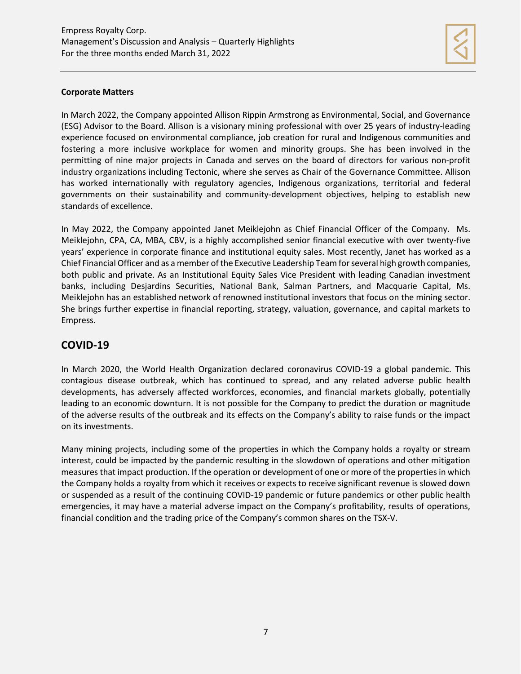

## **Corporate Matters**

In March 2022, the Company appointed Allison Rippin Armstrong as Environmental, Social, and Governance (ESG) Advisor to the Board. Allison is a visionary mining professional with over 25 years of industry-leading experience focused on environmental compliance, job creation for rural and Indigenous communities and fostering a more inclusive workplace for women and minority groups. She has been involved in the permitting of nine major projects in Canada and serves on the board of directors for various non-profit industry organizations including Tectonic, where she serves as Chair of the Governance Committee. Allison has worked internationally with regulatory agencies, Indigenous organizations, territorial and federal governments on their sustainability and community-development objectives, helping to establish new standards of excellence.

In May 2022, the Company appointed Janet Meiklejohn as Chief Financial Officer of the Company. Ms. Meiklejohn, CPA, CA, MBA, CBV, is a highly accomplished senior financial executive with over twenty-five years' experience in corporate finance and institutional equity sales. Most recently, Janet has worked as a Chief Financial Officer and as a member of the Executive Leadership Team for several high growth companies, both public and private. As an Institutional Equity Sales Vice President with leading Canadian investment banks, including Desjardins Securities, National Bank, Salman Partners, and Macquarie Capital, Ms. Meiklejohn has an established network of renowned institutional investors that focus on the mining sector. She brings further expertise in financial reporting, strategy, valuation, governance, and capital markets to Empress.

# **COVID-19**

In March 2020, the World Health Organization declared coronavirus COVID-19 a global pandemic. This contagious disease outbreak, which has continued to spread, and any related adverse public health developments, has adversely affected workforces, economies, and financial markets globally, potentially leading to an economic downturn. It is not possible for the Company to predict the duration or magnitude of the adverse results of the outbreak and its effects on the Company's ability to raise funds or the impact on its investments.

Many mining projects, including some of the properties in which the Company holds a royalty or stream interest, could be impacted by the pandemic resulting in the slowdown of operations and other mitigation measures that impact production. If the operation or development of one or more of the properties in which the Company holds a royalty from which it receives or expects to receive significant revenue is slowed down or suspended as a result of the continuing COVID-19 pandemic or future pandemics or other public health emergencies, it may have a material adverse impact on the Company's profitability, results of operations, financial condition and the trading price of the Company's common shares on the TSX-V.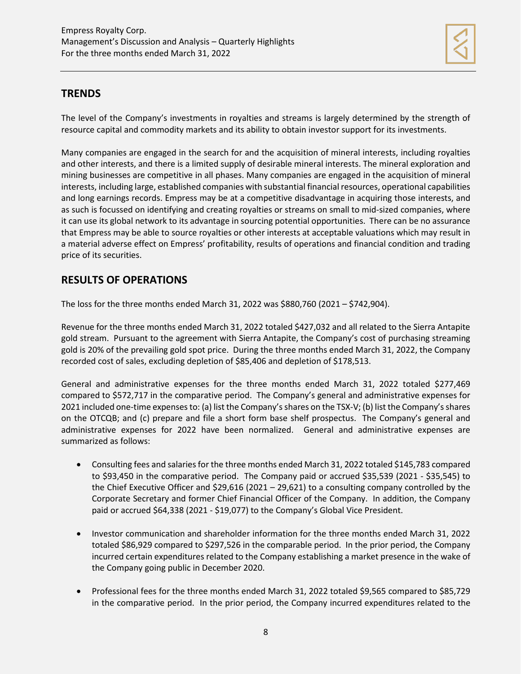

## **TRENDS**

The level of the Company's investments in royalties and streams is largely determined by the strength of resource capital and commodity markets and its ability to obtain investor support for its investments.

Many companies are engaged in the search for and the acquisition of mineral interests, including royalties and other interests, and there is a limited supply of desirable mineral interests. The mineral exploration and mining businesses are competitive in all phases. Many companies are engaged in the acquisition of mineral interests, including large, established companies with substantial financial resources, operational capabilities and long earnings records. Empress may be at a competitive disadvantage in acquiring those interests, and as such is focussed on identifying and creating royalties or streams on small to mid-sized companies, where it can use its global network to its advantage in sourcing potential opportunities. There can be no assurance that Empress may be able to source royalties or other interests at acceptable valuations which may result in a material adverse effect on Empress' profitability, results of operations and financial condition and trading price of its securities.

# **RESULTS OF OPERATIONS**

The loss for the three months ended March 31, 2022 was \$880,760 (2021 – \$742,904).

Revenue for the three months ended March 31, 2022 totaled \$427,032 and all related to the Sierra Antapite gold stream. Pursuant to the agreement with Sierra Antapite, the Company's cost of purchasing streaming gold is 20% of the prevailing gold spot price. During the three months ended March 31, 2022, the Company recorded cost of sales, excluding depletion of \$85,406 and depletion of \$178,513.

General and administrative expenses for the three months ended March 31, 2022 totaled \$277,469 compared to \$572,717 in the comparative period. The Company's general and administrative expenses for 2021 included one-time expenses to: (a) list the Company's shares on the TSX-V; (b) list the Company's shares on the OTCQB; and (c) prepare and file a short form base shelf prospectus. The Company's general and administrative expenses for 2022 have been normalized. General and administrative expenses are summarized as follows:

- Consulting fees and salaries for the three months ended March 31, 2022 totaled \$145,783 compared to \$93,450 in the comparative period. The Company paid or accrued \$35,539 (2021 - \$35,545) to the Chief Executive Officer and \$29,616 (2021 – 29,621) to a consulting company controlled by the Corporate Secretary and former Chief Financial Officer of the Company. In addition, the Company paid or accrued \$64,338 (2021 - \$19,077) to the Company's Global Vice President.
- Investor communication and shareholder information for the three months ended March 31, 2022 totaled \$86,929 compared to \$297,526 in the comparable period. In the prior period, the Company incurred certain expenditures related to the Company establishing a market presence in the wake of the Company going public in December 2020.
- Professional fees for the three months ended March 31, 2022 totaled \$9,565 compared to \$85,729 in the comparative period. In the prior period, the Company incurred expenditures related to the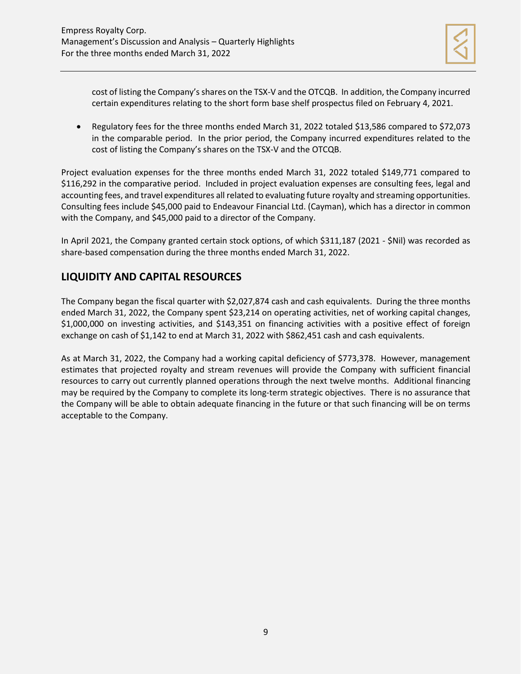

cost of listing the Company's shares on the TSX-V and the OTCQB. In addition, the Company incurred certain expenditures relating to the short form base shelf prospectus filed on February 4, 2021.

• Regulatory fees for the three months ended March 31, 2022 totaled \$13,586 compared to \$72,073 in the comparable period. In the prior period, the Company incurred expenditures related to the cost of listing the Company's shares on the TSX-V and the OTCQB.

Project evaluation expenses for the three months ended March 31, 2022 totaled \$149,771 compared to \$116,292 in the comparative period. Included in project evaluation expenses are consulting fees, legal and accounting fees, and travel expenditures all related to evaluating future royalty and streaming opportunities. Consulting fees include \$45,000 paid to Endeavour Financial Ltd. (Cayman), which has a director in common with the Company, and \$45,000 paid to a director of the Company.

In April 2021, the Company granted certain stock options, of which \$311,187 (2021 - \$Nil) was recorded as share-based compensation during the three months ended March 31, 2022.

# **LIQUIDITY AND CAPITAL RESOURCES**

The Company began the fiscal quarter with \$2,027,874 cash and cash equivalents. During the three months ended March 31, 2022, the Company spent \$23,214 on operating activities, net of working capital changes, \$1,000,000 on investing activities, and \$143,351 on financing activities with a positive effect of foreign exchange on cash of \$1,142 to end at March 31, 2022 with \$862,451 cash and cash equivalents.

As at March 31, 2022, the Company had a working capital deficiency of \$773,378. However, management estimates that projected royalty and stream revenues will provide the Company with sufficient financial resources to carry out currently planned operations through the next twelve months. Additional financing may be required by the Company to complete its long-term strategic objectives. There is no assurance that the Company will be able to obtain adequate financing in the future or that such financing will be on terms acceptable to the Company.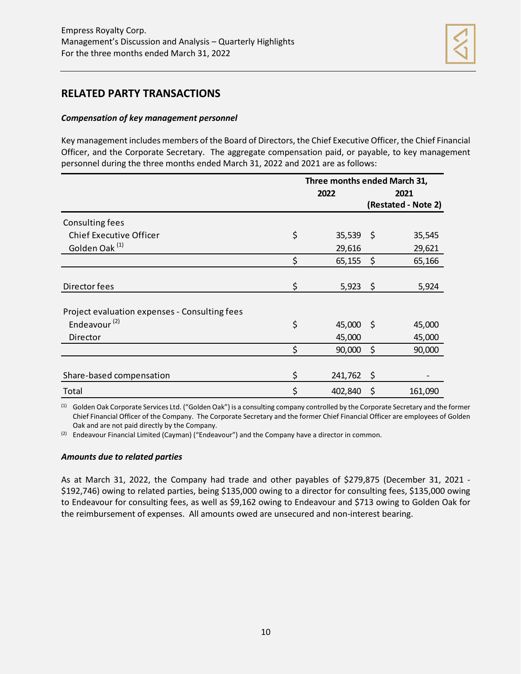

## **RELATED PARTY TRANSACTIONS**

#### *Compensation of key management personnel*

Key management includes members of the Board of Directors, the Chief Executive Officer, the Chief Financial Officer, and the Corporate Secretary. The aggregate compensation paid, or payable, to key management personnel during the three months ended March 31, 2022 and 2021 are as follows:

|                                               | Three months ended March 31, |         |                     |
|-----------------------------------------------|------------------------------|---------|---------------------|
|                                               | 2022                         | 2021    |                     |
|                                               |                              |         | (Restated - Note 2) |
| Consulting fees                               |                              |         |                     |
| <b>Chief Executive Officer</b>                | \$<br>$35,539$ \$            |         | 35,545              |
| Golden Oak <sup>(1)</sup>                     | 29,616                       |         | 29,621              |
|                                               | \$<br>65,155                 | $\zeta$ | 65,166              |
|                                               |                              |         |                     |
| Director fees                                 | \$<br>$5,923$ \$             |         | 5,924               |
|                                               |                              |         |                     |
| Project evaluation expenses - Consulting fees |                              |         |                     |
| Endeavour $(2)$                               | \$<br>$45,000$ \$            |         | 45,000              |
| Director                                      | 45,000                       |         | 45,000              |
|                                               | \$<br>90,000                 | $\zeta$ | 90,000              |
|                                               |                              |         |                     |
| Share-based compensation                      | \$<br>241,762                | \$      |                     |
| Total                                         | \$<br>402,840                | \$      | 161,090             |

(1) Golden Oak Corporate Services Ltd. ("Golden Oak") is a consulting company controlled by the Corporate Secretary and the former Chief Financial Officer of the Company. The Corporate Secretary and the former Chief Financial Officer are employees of Golden Oak and are not paid directly by the Company.

 $(2)$  Endeavour Financial Limited (Cayman) ("Endeavour") and the Company have a director in common.

#### *Amounts due to related parties*

As at March 31, 2022, the Company had trade and other payables of \$279,875 (December 31, 2021 - \$192,746) owing to related parties, being \$135,000 owing to a director for consulting fees, \$135,000 owing to Endeavour for consulting fees, as well as \$9,162 owing to Endeavour and \$713 owing to Golden Oak for the reimbursement of expenses. All amounts owed are unsecured and non-interest bearing.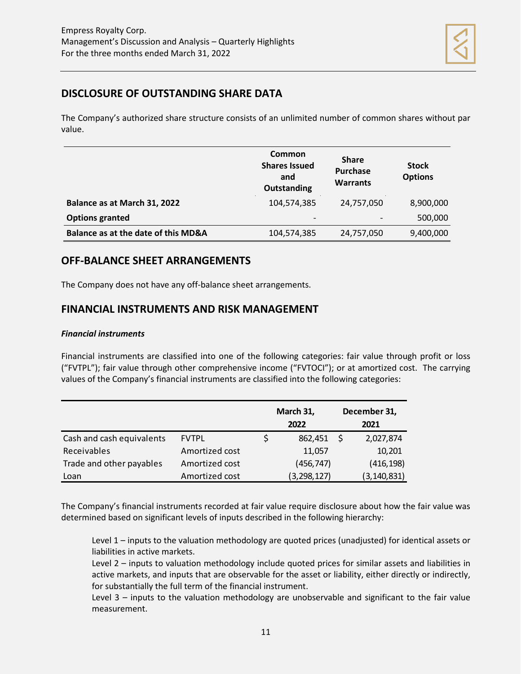

# **DISCLOSURE OF OUTSTANDING SHARE DATA**

The Company's authorized share structure consists of an unlimited number of common shares without par value.

|                                     | Common<br><b>Shares Issued</b><br>and<br><b>Outstanding</b> | <b>Share</b><br>Purchase<br><b>Warrants</b> | <b>Stock</b><br><b>Options</b> |
|-------------------------------------|-------------------------------------------------------------|---------------------------------------------|--------------------------------|
| Balance as at March 31, 2022        | 104.574.385                                                 | 24,757,050                                  | 8,900,000                      |
| <b>Options granted</b>              | $\overline{\phantom{a}}$                                    |                                             | 500,000                        |
| Balance as at the date of this MD&A | 104,574,385                                                 | 24,757,050                                  | 9,400,000                      |

## **OFF-BALANCE SHEET ARRANGEMENTS**

The Company does not have any off-balance sheet arrangements.

## **FINANCIAL INSTRUMENTS AND RISK MANAGEMENT**

## *Financial instruments*

Financial instruments are classified into one of the following categories: fair value through profit or loss ("FVTPL"); fair value through other comprehensive income ("FVTOCI"); or at amortized cost. The carrying values of the Company's financial instruments are classified into the following categories:

|                           |                | March 31,     |  | December 31,  |  |
|---------------------------|----------------|---------------|--|---------------|--|
|                           |                | 2022          |  | 2021          |  |
| Cash and cash equivalents | <b>FVTPL</b>   | 862,451       |  | 2,027,874     |  |
| Receivables               | Amortized cost | 11,057        |  | 10,201        |  |
| Trade and other payables  | Amortized cost | (456, 747)    |  | (416, 198)    |  |
| Loan                      | Amortized cost | (3, 298, 127) |  | (3, 140, 831) |  |

The Company's financial instruments recorded at fair value require disclosure about how the fair value was determined based on significant levels of inputs described in the following hierarchy:

Level 1 – inputs to the valuation methodology are quoted prices (unadjusted) for identical assets or liabilities in active markets.

Level 2 – inputs to valuation methodology include quoted prices for similar assets and liabilities in active markets, and inputs that are observable for the asset or liability, either directly or indirectly, for substantially the full term of the financial instrument.

Level 3 – inputs to the valuation methodology are unobservable and significant to the fair value measurement.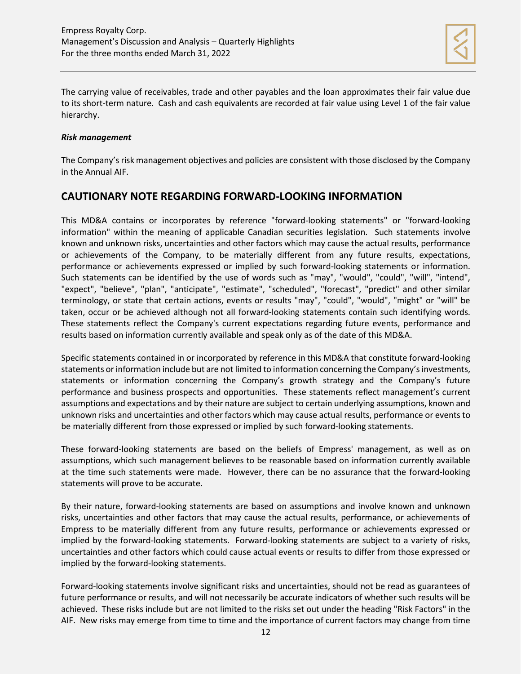

The carrying value of receivables, trade and other payables and the loan approximates their fair value due to its short-term nature. Cash and cash equivalents are recorded at fair value using Level 1 of the fair value hierarchy.

## *Risk management*

The Company's risk management objectives and policies are consistent with those disclosed by the Company in the Annual AIF.

## **CAUTIONARY NOTE REGARDING FORWARD-LOOKING INFORMATION**

This MD&A contains or incorporates by reference "forward-looking statements" or "forward-looking information" within the meaning of applicable Canadian securities legislation. Such statements involve known and unknown risks, uncertainties and other factors which may cause the actual results, performance or achievements of the Company, to be materially different from any future results, expectations, performance or achievements expressed or implied by such forward-looking statements or information. Such statements can be identified by the use of words such as "may", "would", "could", "will", "intend", "expect", "believe", "plan", "anticipate", "estimate", "scheduled", "forecast", "predict" and other similar terminology, or state that certain actions, events or results "may", "could", "would", "might" or "will" be taken, occur or be achieved although not all forward-looking statements contain such identifying words. These statements reflect the Company's current expectations regarding future events, performance and results based on information currently available and speak only as of the date of this MD&A.

Specific statements contained in or incorporated by reference in this MD&A that constitute forward-looking statements or information include but are not limited to information concerning the Company's investments, statements or information concerning the Company's growth strategy and the Company's future performance and business prospects and opportunities. These statements reflect management's current assumptions and expectations and by their nature are subject to certain underlying assumptions, known and unknown risks and uncertainties and other factors which may cause actual results, performance or events to be materially different from those expressed or implied by such forward-looking statements.

These forward-looking statements are based on the beliefs of Empress' management, as well as on assumptions, which such management believes to be reasonable based on information currently available at the time such statements were made. However, there can be no assurance that the forward-looking statements will prove to be accurate.

By their nature, forward-looking statements are based on assumptions and involve known and unknown risks, uncertainties and other factors that may cause the actual results, performance, or achievements of Empress to be materially different from any future results, performance or achievements expressed or implied by the forward-looking statements. Forward-looking statements are subject to a variety of risks, uncertainties and other factors which could cause actual events or results to differ from those expressed or implied by the forward-looking statements.

Forward-looking statements involve significant risks and uncertainties, should not be read as guarantees of future performance or results, and will not necessarily be accurate indicators of whether such results will be achieved. These risks include but are not limited to the risks set out under the heading "Risk Factors" in the AIF. New risks may emerge from time to time and the importance of current factors may change from time